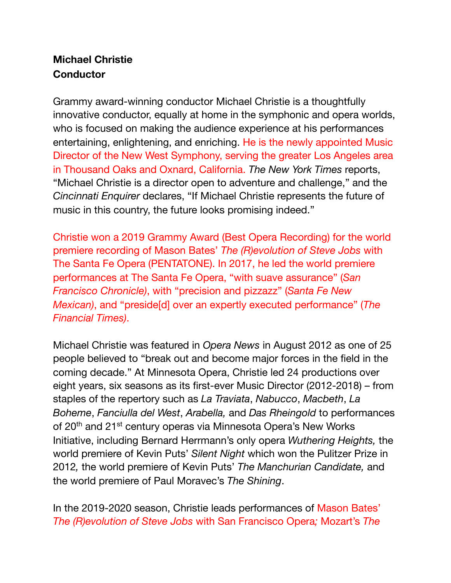## **Michael Christie Conductor**

Grammy award-winning conductor Michael Christie is a thoughtfully innovative conductor, equally at home in the symphonic and opera worlds, who is focused on making the audience experience at his performances entertaining, enlightening, and enriching. He is the newly appointed Music Director of the New West Symphony, serving the greater Los Angeles area in Thousand Oaks and Oxnard, California. *The New York Times* reports, "Michael Christie is a director open to adventure and challenge," and the *Cincinnati Enquirer* declares, "If Michael Christie represents the future of music in this country, the future looks promising indeed."

Christie won a 2019 Grammy Award (Best Opera Recording) for the world premiere recording of Mason Bates' *The (R)evolution of Steve Jobs* with The Santa Fe Opera (PENTATONE). In 2017, he led the world premiere performances at The Santa Fe Opera, "with suave assurance" (*San Francisco Chronicle)*, with "precision and pizzazz" (*Santa Fe New Mexican)*, and "preside[d] over an expertly executed performance" (*The Financial Times)*.

Michael Christie was featured in *Opera News* in August 2012 as one of 25 people believed to "break out and become major forces in the field in the coming decade." At Minnesota Opera, Christie led 24 productions over eight years, six seasons as its first-ever Music Director (2012-2018) – from staples of the repertory such as *La Traviata*, *Nabucco*, *Macbeth*, *La Boheme*, *Fanciulla del West*, *Arabella,* and *Das Rheingold* to performances of 20<sup>th</sup> and 21<sup>st</sup> century operas via Minnesota Opera's New Works Initiative, including Bernard Herrmann's only opera *Wuthering Heights,* the world premiere of Kevin Puts' *Silent Night* which won the Pulitzer Prize in 2012*,* the world premiere of Kevin Puts' *The Manchurian Candidate,* and the world premiere of Paul Moravec's *The Shining*.

In the 2019-2020 season, Christie leads performances of Mason Bates' *The (R)evolution of Steve Jobs* with San Francisco Opera*;* Mozart's *The*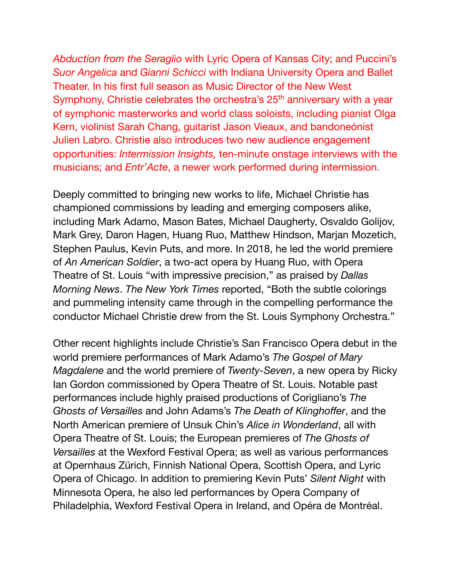*Abduction from the Seraglio* with Lyric Opera of Kansas City; and Puccini's *Suor Angelica* and *Gianni Schicci* with Indiana University Opera and Ballet Theater. In his first full season as Music Director of the New West Symphony, Christie celebrates the orchestra's 25<sup>th</sup> anniversary with a year of symphonic masterworks and world class soloists, including pianist Olga Kern, violinist Sarah Chang, guitarist Jason Vieaux, and bandoneónist Julien Labro. Christie also introduces two new audience engagement opportunities: *Intermission Insights,* ten-minute onstage interviews with the musicians; and *Entr'Acte*, a newer work performed during intermission.

Deeply committed to bringing new works to life, Michael Christie has championed commissions by leading and emerging composers alike, including Mark Adamo, Mason Bates, Michael Daugherty, Osvaldo Golijov, Mark Grey, Daron Hagen, Huang Ruo, Matthew Hindson, Marjan Mozetich, Stephen Paulus, Kevin Puts, and more. In 2018, he led the world premiere of *An American Soldier*, a two-act opera by Huang Ruo, with Opera Theatre of St. Louis "with impressive precision," as praised by *Dallas Morning News*. *The New York Times* reported, "Both the subtle colorings and pummeling intensity came through in the compelling performance the conductor Michael Christie drew from the St. Louis Symphony Orchestra."

Other recent highlights include Christie's San Francisco Opera debut in the world premiere performances of Mark Adamo's *The Gospel of Mary Magdalene* and the world premiere of *Twenty-Seven*, a new opera by Ricky Ian Gordon commissioned by Opera Theatre of St. Louis. Notable past performances include highly praised productions of Corigliano's *The Ghosts of Versailles* and John Adams's *The Death of Klinghoffer*, and the North American premiere of Unsuk Chin's *Alice in Wonderland*, all with Opera Theatre of St. Louis; the European premieres of *The Ghosts of Versailles* at the Wexford Festival Opera; as well as various performances at Opernhaus Zürich, Finnish National Opera, Scottish Opera, and Lyric Opera of Chicago. In addition to premiering Kevin Puts' *Silent Night* with Minnesota Opera, he also led performances by Opera Company of Philadelphia, Wexford Festival Opera in Ireland, and Opéra de Montréal.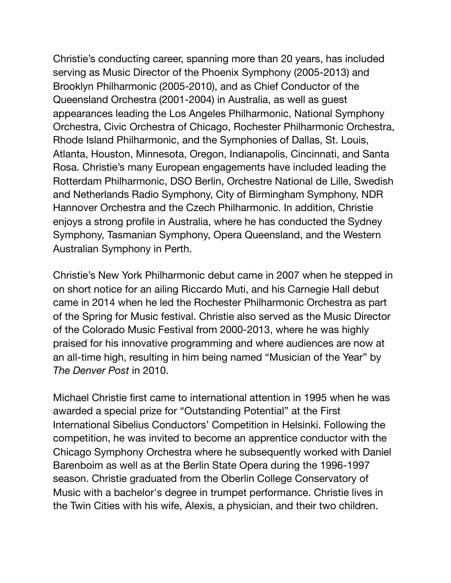Christie's conducting career, spanning more than 20 years, has included serving as Music Director of the Phoenix Symphony (2005-2013) and Brooklyn Philharmonic (2005-2010), and as Chief Conductor of the Queensland Orchestra (2001-2004) in Australia, as well as guest appearances leading the Los Angeles Philharmonic, National Symphony Orchestra, Civic Orchestra of Chicago, Rochester Philharmonic Orchestra, Rhode Island Philharmonic, and the Symphonies of Dallas, St. Louis, Atlanta, Houston, Minnesota, Oregon, Indianapolis, Cincinnati, and Santa Rosa. Christie's many European engagements have included leading the Rotterdam Philharmonic, DSO Berlin, Orchestre National de Lille, Swedish and Netherlands Radio Symphony, City of Birmingham Symphony, NDR Hannover Orchestra and the Czech Philharmonic. In addition, Christie enjoys a strong profile in Australia, where he has conducted the Sydney Symphony, Tasmanian Symphony, Opera Queensland, and the Western Australian Symphony in Perth.

Christie's New York Philharmonic debut came in 2007 when he stepped in on short notice for an ailing Riccardo Muti, and his Carnegie Hall debut came in 2014 when he led the Rochester Philharmonic Orchestra as part of the Spring for Music festival. Christie also served as the Music Director of the Colorado Music Festival from 2000-2013, where he was highly praised for his innovative programming and where audiences are now at an all-time high, resulting in him being named "Musician of the Year" by *The Denver Post* in 2010.

Michael Christie first came to international attention in 1995 when he was awarded a special prize for "Outstanding Potential" at the First International Sibelius Conductors' Competition in Helsinki. Following the competition, he was invited to become an apprentice conductor with the Chicago Symphony Orchestra where he subsequently worked with Daniel Barenboim as well as at the Berlin State Opera during the 1996-1997 season. Christie graduated from the Oberlin College Conservatory of Music with a bachelor's degree in trumpet performance. Christie lives in the Twin Cities with his wife, Alexis, a physician, and their two children.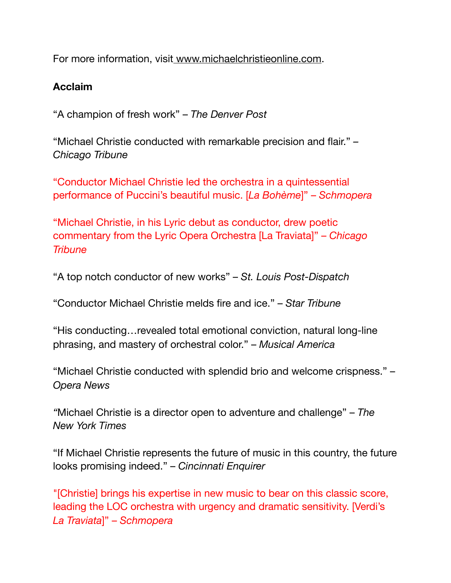For more information, visi[t www.michaelchristieonline.com.](http://www.michaelchristieonline.com)

## **Acclaim**

"A champion of fresh work" – *The Denver Post*

"Michael Christie conducted with remarkable precision and flair." *– Chicago Tribune*

"Conductor Michael Christie led the orchestra in a quintessential performance of Puccini's beautiful music. [*La Bohème*]" – *Schmopera*

"Michael Christie, in his Lyric debut as conductor, drew poetic commentary from the Lyric Opera Orchestra [La Traviata]" – *Chicago Tribune*

"A top notch conductor of new works" – *St. Louis Post-Dispatch*

"Conductor Michael Christie melds fire and ice." – *Star Tribune*

"His conducting…revealed total emotional conviction, natural long-line phrasing, and mastery of orchestral color." – *Musical America*

"Michael Christie conducted with splendid brio and welcome crispness." – *Opera News*

*"*Michael Christie is a director open to adventure and challenge" – *The New York Times*

"If Michael Christie represents the future of music in this country, the future looks promising indeed." – *Cincinnati Enquirer*

"[Christie] brings his expertise in new music to bear on this classic score, leading the LOC orchestra with urgency and dramatic sensitivity. [Verdi's *La Traviata*]" – *Schmopera*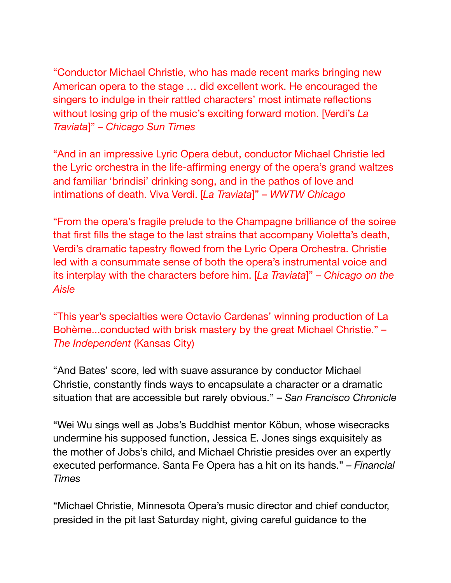"Conductor Michael Christie, who has made recent marks bringing new American opera to the stage … did excellent work. He encouraged the singers to indulge in their rattled characters' most intimate reflections without losing grip of the music's exciting forward motion. [Verdi's *La Traviata*]" – *Chicago Sun Times*

"And in an impressive Lyric Opera debut, conductor Michael Christie led the Lyric orchestra in the life-affirming energy of the opera's grand waltzes and familiar 'brindisi' drinking song, and in the pathos of love and intimations of death. Viva Verdi. [*La Traviata*]" – *WWTW Chicago*

"From the opera's fragile prelude to the Champagne brilliance of the soiree that first fills the stage to the last strains that accompany Violetta's death, Verdi's dramatic tapestry flowed from the Lyric Opera Orchestra. Christie led with a consummate sense of both the opera's instrumental voice and its interplay with the characters before him. [*La Traviata*]" – *Chicago on the Aisle*

"This year's specialties were Octavio Cardenas' winning production of La Bohème...conducted with brisk mastery by the great Michael Christie." – *The Independent* (Kansas City)

"And Bates' score, led with suave assurance by conductor Michael Christie, constantly finds ways to encapsulate a character or a dramatic situation that are accessible but rarely obvious." – *San Francisco Chronicle*

"Wei Wu sings well as Jobs's Buddhist mentor Köbun, whose wisecracks undermine his supposed function, Jessica E. Jones sings exquisitely as the mother of Jobs's child, and Michael Christie presides over an expertly executed performance. Santa Fe Opera has a hit on its hands." *– Financial Times*

"Michael Christie, Minnesota Opera's music director and chief conductor, presided in the pit last Saturday night, giving careful guidance to the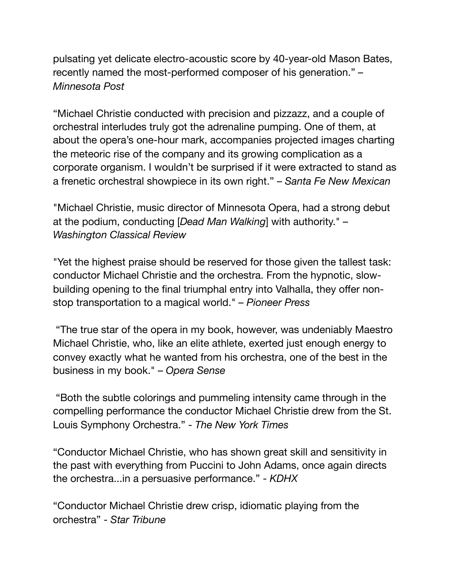pulsating yet delicate electro-acoustic score by 40-year-old Mason Bates, recently named the most-performed composer of his generation." *– Minnesota Post*

"Michael Christie conducted with precision and pizzazz, and a couple of orchestral interludes truly got the adrenaline pumping. One of them, at about the opera's one-hour mark, accompanies projected images charting the meteoric rise of the company and its growing complication as a corporate organism. I wouldn't be surprised if it were extracted to stand as a frenetic orchestral showpiece in its own right." – *Santa Fe New Mexican*

"Michael Christie, music director of Minnesota Opera, had a strong debut at the podium, conducting [*Dead Man Walking*] with authority." – *Washington Classical Review*

"Yet the highest praise should be reserved for those given the tallest task: conductor Michael Christie and the orchestra. From the hypnotic, slowbuilding opening to the final triumphal entry into Valhalla, they offer nonstop transportation to a magical world." *– Pioneer Press*

 "The true star of the opera in my book, however, was undeniably Maestro Michael Christie, who, like an elite athlete, exerted just enough energy to convey exactly what he wanted from his orchestra, one of the best in the business in my book." – *Opera Sense*

 "Both the subtle colorings and pummeling intensity came through in the compelling performance the conductor Michael Christie drew from the St. Louis Symphony Orchestra." - *The New York Times*

"Conductor Michael Christie, who has shown great skill and sensitivity in the past with everything from Puccini to John Adams, once again directs the orchestra...in a persuasive performance." - *KDHX*

"Conductor Michael Christie drew crisp, idiomatic playing from the orchestra" - *Star Tribune*